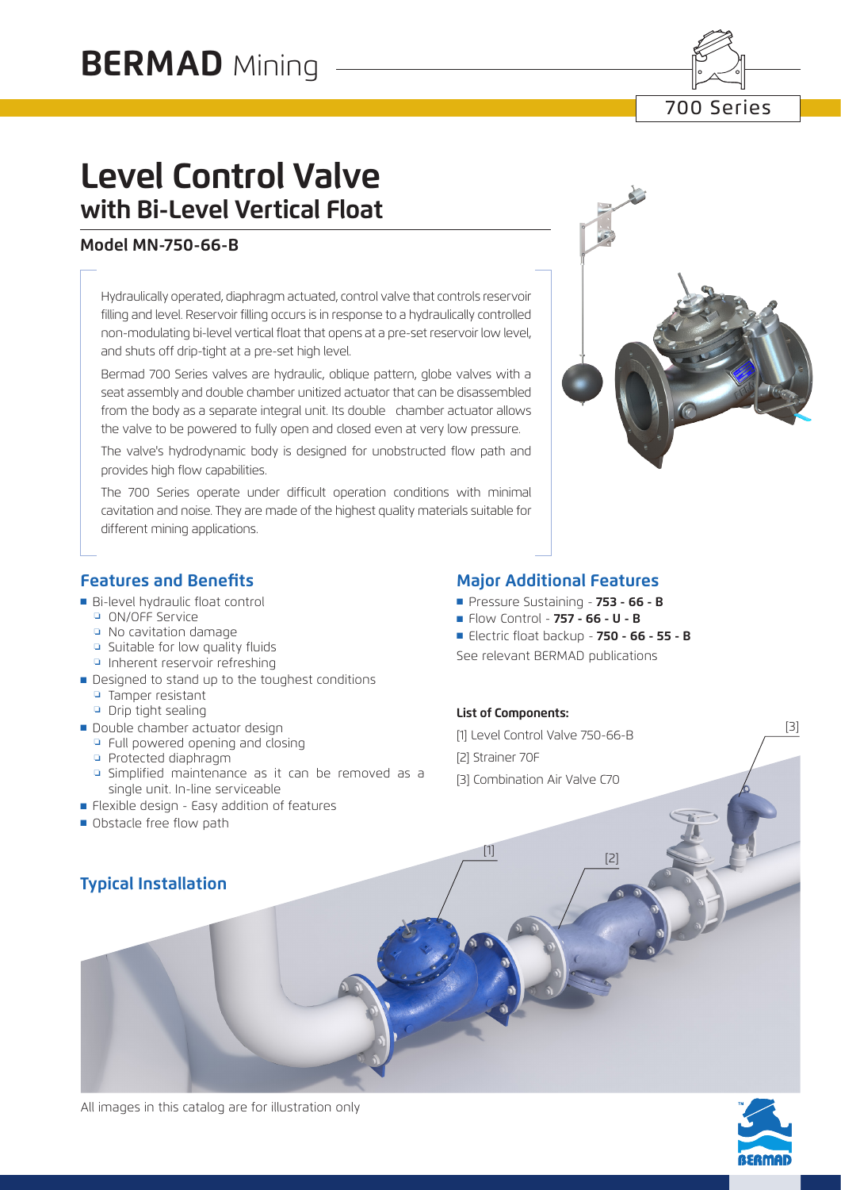

# **Level Control Valve with Bi-Level Vertical Float**

### **Model MN-750-66-B**

Hydraulically operated, diaphragm actuated, control valve that controls reservoir filling and level. Reservoir filling occurs is in response to a hydraulically controlled non-modulating bi-level vertical float that opens at a pre-set reservoir low level, and shuts off drip-tight at a pre-set high level.

Bermad 700 Series valves are hydraulic, oblique pattern, globe valves with a seat assembly and double chamber unitized actuator that can be disassembled from the body as a separate integral unit. Its double chamber actuator allows the valve to be powered to fully open and closed even at very low pressure.

The valve's hydrodynamic body is designed for unobstructed flow path and provides high flow capabilities.

The 700 Series operate under difficult operation conditions with minimal cavitation and noise. They are made of the highest quality materials suitable for different mining applications.



## **Features and Benefits**

- Bi-level hydraulic float control
	- ❏ ON/OFF Service
	- ❏ No cavitation damage
	- ❏ Suitable for low quality fluids
	- ❏ Inherent reservoir refreshing
- Designed to stand up to the toughest conditions
	- ❏ Tamper resistant
	- ❏ Drip tight sealing
- Double chamber actuator design
	- □ Full powered opening and closing
	- ❏ Protected diaphragm
	- ❏ Simplified maintenance as it can be removed as a single unit. In-line serviceable
- Flexible design Easy addition of features
- Obstacle free flow path

## **Major Additional Features**

- ■ Pressure Sustaining - **753 66 B**
- ■ Flow Control - **757 66 U B**
- ■ Electric float backup - **750 66 55 B** See relevant BERMAD publications

#### **List of Components:**

[1] Level Control Valve 750-66-B [2] Strainer 70F [3] Combination Air Valve C70

 $\frac{[1]}{[2]}$ 

## **Typical Installation**



[3]

All images in this catalog are for illustration only